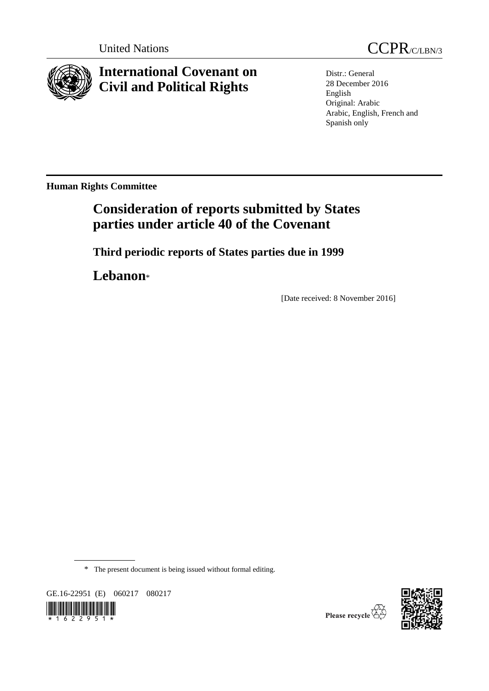

# **International Covenant on Civil and Political Rights**

Distr.: General 28 December 2016 English Original: Arabic Arabic, English, French and Spanish only

**Human Rights Committee**

# **Consideration of reports submitted by States parties under article 40 of the Covenant**

**Third periodic reports of States parties due in 1999**

**Lebanon**\*

[Date received: 8 November 2016]

\* The present document is being issued without formal editing.

GE.16-22951 (E) 060217 080217



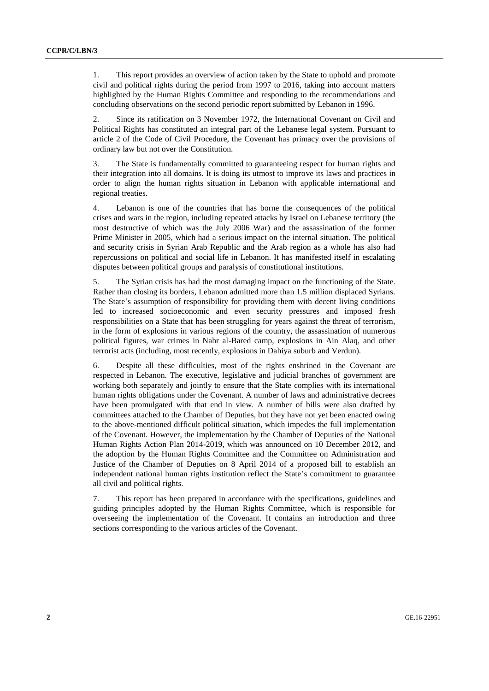1. This report provides an overview of action taken by the State to uphold and promote civil and political rights during the period from 1997 to 2016, taking into account matters highlighted by the Human Rights Committee and responding to the recommendations and concluding observations on the second periodic report submitted by Lebanon in 1996.

2. Since its ratification on 3 November 1972, the International Covenant on Civil and Political Rights has constituted an integral part of the Lebanese legal system. Pursuant to article 2 of the Code of Civil Procedure, the Covenant has primacy over the provisions of ordinary law but not over the Constitution.

3. The State is fundamentally committed to guaranteeing respect for human rights and their integration into all domains. It is doing its utmost to improve its laws and practices in order to align the human rights situation in Lebanon with applicable international and regional treaties.

4. Lebanon is one of the countries that has borne the consequences of the political crises and wars in the region, including repeated attacks by Israel on Lebanese territory (the most destructive of which was the July 2006 War) and the assassination of the former Prime Minister in 2005, which had a serious impact on the internal situation. The political and security crisis in Syrian Arab Republic and the Arab region as a whole has also had repercussions on political and social life in Lebanon. It has manifested itself in escalating disputes between political groups and paralysis of constitutional institutions.

5. The Syrian crisis has had the most damaging impact on the functioning of the State. Rather than closing its borders, Lebanon admitted more than 1.5 million displaced Syrians. The State's assumption of responsibility for providing them with decent living conditions led to increased socioeconomic and even security pressures and imposed fresh responsibilities on a State that has been struggling for years against the threat of terrorism, in the form of explosions in various regions of the country, the assassination of numerous political figures, war crimes in Nahr al-Bared camp, explosions in Ain Alaq, and other terrorist acts (including, most recently, explosions in Dahiya suburb and Verdun).

6. Despite all these difficulties, most of the rights enshrined in the Covenant are respected in Lebanon. The executive, legislative and judicial branches of government are working both separately and jointly to ensure that the State complies with its international human rights obligations under the Covenant. A number of laws and administrative decrees have been promulgated with that end in view. A number of bills were also drafted by committees attached to the Chamber of Deputies, but they have not yet been enacted owing to the above-mentioned difficult political situation, which impedes the full implementation of the Covenant. However, the implementation by the Chamber of Deputies of the National Human Rights Action Plan 2014-2019, which was announced on 10 December 2012, and the adoption by the Human Rights Committee and the Committee on Administration and Justice of the Chamber of Deputies on 8 April 2014 of a proposed bill to establish an independent national human rights institution reflect the State's commitment to guarantee all civil and political rights.

7. This report has been prepared in accordance with the specifications, guidelines and guiding principles adopted by the Human Rights Committee, which is responsible for overseeing the implementation of the Covenant. It contains an introduction and three sections corresponding to the various articles of the Covenant.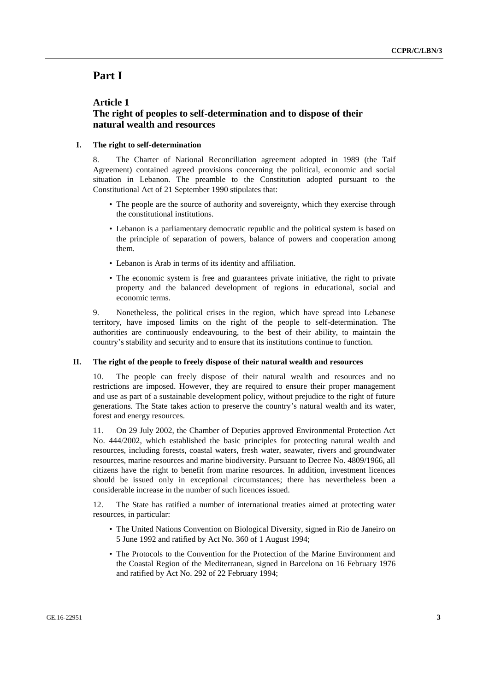## **Part I**

### **Article 1 The right of peoples to self-determination and to dispose of their natural wealth and resources**

#### **I. The right to self-determination**

8. The Charter of National Reconciliation agreement adopted in 1989 (the Taif Agreement) contained agreed provisions concerning the political, economic and social situation in Lebanon. The preamble to the Constitution adopted pursuant to the Constitutional Act of 21 September 1990 stipulates that:

- The people are the source of authority and sovereignty, which they exercise through the constitutional institutions.
- Lebanon is a parliamentary democratic republic and the political system is based on the principle of separation of powers, balance of powers and cooperation among them.
- Lebanon is Arab in terms of its identity and affiliation.
- The economic system is free and guarantees private initiative, the right to private property and the balanced development of regions in educational, social and economic terms.

9. Nonetheless, the political crises in the region, which have spread into Lebanese territory, have imposed limits on the right of the people to self-determination. The authorities are continuously endeavouring, to the best of their ability, to maintain the country's stability and security and to ensure that its institutions continue to function.

#### **II. The right of the people to freely dispose of their natural wealth and resources**

10. The people can freely dispose of their natural wealth and resources and no restrictions are imposed. However, they are required to ensure their proper management and use as part of a sustainable development policy, without prejudice to the right of future generations. The State takes action to preserve the country's natural wealth and its water, forest and energy resources.

11. On 29 July 2002, the Chamber of Deputies approved Environmental Protection Act No. 444/2002, which established the basic principles for protecting natural wealth and resources, including forests, coastal waters, fresh water, seawater, rivers and groundwater resources, marine resources and marine biodiversity. Pursuant to Decree No. 4809/1966, all citizens have the right to benefit from marine resources. In addition, investment licences should be issued only in exceptional circumstances; there has nevertheless been a considerable increase in the number of such licences issued.

12. The State has ratified a number of international treaties aimed at protecting water resources, in particular:

- The United Nations Convention on Biological Diversity, signed in Rio de Janeiro on 5 June 1992 and ratified by Act No. 360 of 1 August 1994;
- The Protocols to the Convention for the Protection of the Marine Environment and the Coastal Region of the Mediterranean, signed in Barcelona on 16 February 1976 and ratified by Act No. 292 of 22 February 1994;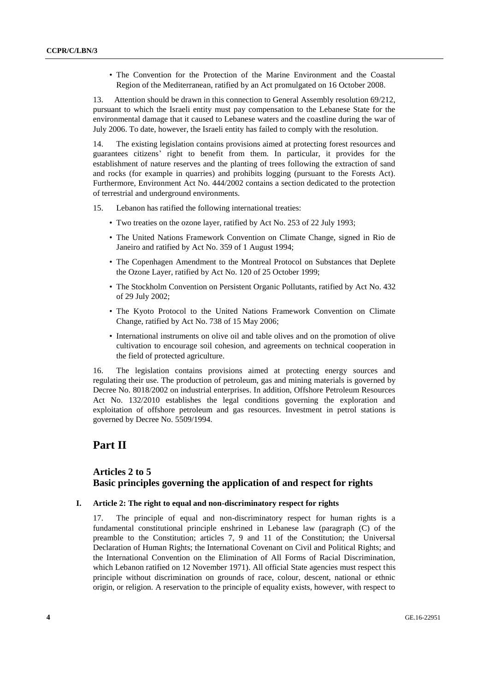• The Convention for the Protection of the Marine Environment and the Coastal Region of the Mediterranean, ratified by an Act promulgated on 16 October 2008.

13. Attention should be drawn in this connection to General Assembly resolution 69/212, pursuant to which the Israeli entity must pay compensation to the Lebanese State for the environmental damage that it caused to Lebanese waters and the coastline during the war of July 2006. To date, however, the Israeli entity has failed to comply with the resolution.

14. The existing legislation contains provisions aimed at protecting forest resources and guarantees citizens' right to benefit from them. In particular, it provides for the establishment of nature reserves and the planting of trees following the extraction of sand and rocks (for example in quarries) and prohibits logging (pursuant to the Forests Act). Furthermore, Environment Act No. 444/2002 contains a section dedicated to the protection of terrestrial and underground environments.

- 15. Lebanon has ratified the following international treaties:
	- Two treaties on the ozone layer, ratified by Act No. 253 of 22 July 1993;
	- The United Nations Framework Convention on Climate Change, signed in Rio de Janeiro and ratified by Act No. 359 of 1 August 1994;
	- The Copenhagen Amendment to the Montreal Protocol on Substances that Deplete the Ozone Layer, ratified by Act No. 120 of 25 October 1999;
	- The Stockholm Convention on Persistent Organic Pollutants, ratified by Act No. 432 of 29 July 2002;
	- The Kyoto Protocol to the United Nations Framework Convention on Climate Change, ratified by Act No. 738 of 15 May 2006;
	- International instruments on olive oil and table olives and on the promotion of olive cultivation to encourage soil cohesion, and agreements on technical cooperation in the field of protected agriculture.

16. The legislation contains provisions aimed at protecting energy sources and regulating their use. The production of petroleum, gas and mining materials is governed by Decree No. 8018/2002 on industrial enterprises. In addition, Offshore Petroleum Resources Act No. 132/2010 establishes the legal conditions governing the exploration and exploitation of offshore petroleum and gas resources. Investment in petrol stations is governed by Decree No. 5509/1994.

# **Part II**

### **Articles 2 to 5 Basic principles governing the application of and respect for rights**

**I. Article 2: The right to equal and non-discriminatory respect for rights**

17. The principle of equal and non-discriminatory respect for human rights is a fundamental constitutional principle enshrined in Lebanese law (paragraph (C) of the preamble to the Constitution; articles 7, 9 and 11 of the Constitution; the Universal Declaration of Human Rights; the International Covenant on Civil and Political Rights; and the International Convention on the Elimination of All Forms of Racial Discrimination, which Lebanon ratified on 12 November 1971). All official State agencies must respect this principle without discrimination on grounds of race, colour, descent, national or ethnic origin, or religion. A reservation to the principle of equality exists, however, with respect to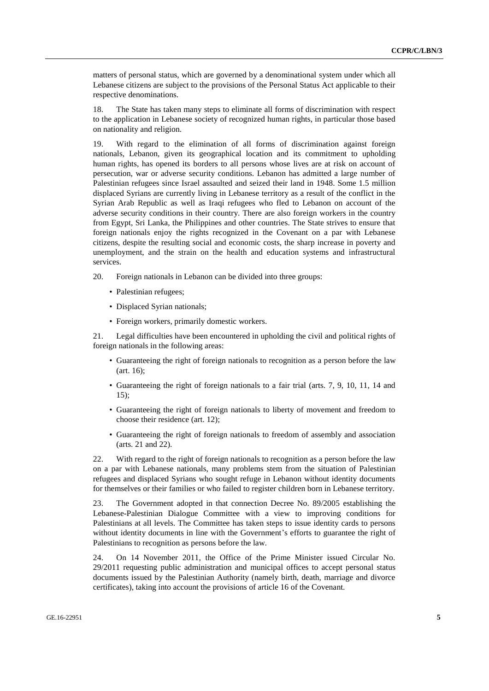matters of personal status, which are governed by a denominational system under which all Lebanese citizens are subject to the provisions of the Personal Status Act applicable to their respective denominations.

18. The State has taken many steps to eliminate all forms of discrimination with respect to the application in Lebanese society of recognized human rights, in particular those based on nationality and religion.

19. With regard to the elimination of all forms of discrimination against foreign nationals, Lebanon, given its geographical location and its commitment to upholding human rights, has opened its borders to all persons whose lives are at risk on account of persecution, war or adverse security conditions. Lebanon has admitted a large number of Palestinian refugees since Israel assaulted and seized their land in 1948. Some 1.5 million displaced Syrians are currently living in Lebanese territory as a result of the conflict in the Syrian Arab Republic as well as Iraqi refugees who fled to Lebanon on account of the adverse security conditions in their country. There are also foreign workers in the country from Egypt, Sri Lanka, the Philippines and other countries. The State strives to ensure that foreign nationals enjoy the rights recognized in the Covenant on a par with Lebanese citizens, despite the resulting social and economic costs, the sharp increase in poverty and unemployment, and the strain on the health and education systems and infrastructural services.

20. Foreign nationals in Lebanon can be divided into three groups:

- Palestinian refugees;
- Displaced Syrian nationals;
- Foreign workers, primarily domestic workers.

21. Legal difficulties have been encountered in upholding the civil and political rights of foreign nationals in the following areas:

- Guaranteeing the right of foreign nationals to recognition as a person before the law (art. 16);
- Guaranteeing the right of foreign nationals to a fair trial (arts. 7, 9, 10, 11, 14 and 15);
- Guaranteeing the right of foreign nationals to liberty of movement and freedom to choose their residence (art. 12);
- Guaranteeing the right of foreign nationals to freedom of assembly and association (arts. 21 and 22).

22. With regard to the right of foreign nationals to recognition as a person before the law on a par with Lebanese nationals, many problems stem from the situation of Palestinian refugees and displaced Syrians who sought refuge in Lebanon without identity documents for themselves or their families or who failed to register children born in Lebanese territory.

23. The Government adopted in that connection Decree No. 89/2005 establishing the Lebanese-Palestinian Dialogue Committee with a view to improving conditions for Palestinians at all levels. The Committee has taken steps to issue identity cards to persons without identity documents in line with the Government's efforts to guarantee the right of Palestinians to recognition as persons before the law.

24. On 14 November 2011, the Office of the Prime Minister issued Circular No. 29/2011 requesting public administration and municipal offices to accept personal status documents issued by the Palestinian Authority (namely birth, death, marriage and divorce certificates), taking into account the provisions of article 16 of the Covenant.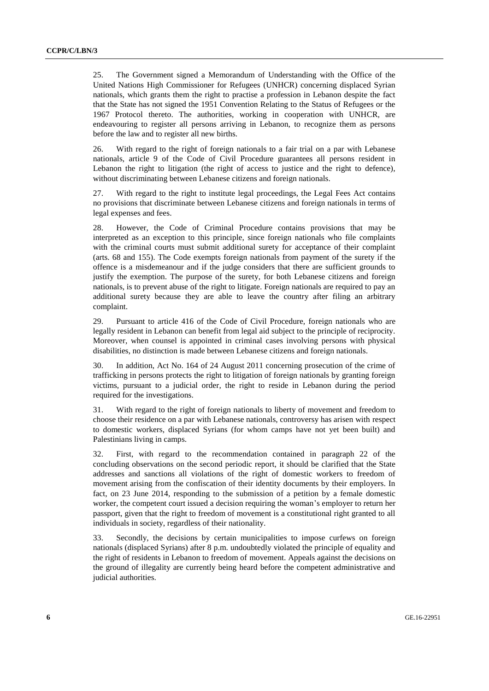25. The Government signed a Memorandum of Understanding with the Office of the United Nations High Commissioner for Refugees (UNHCR) concerning displaced Syrian nationals, which grants them the right to practise a profession in Lebanon despite the fact that the State has not signed the 1951 Convention Relating to the Status of Refugees or the 1967 Protocol thereto. The authorities, working in cooperation with UNHCR, are endeavouring to register all persons arriving in Lebanon, to recognize them as persons before the law and to register all new births.

26. With regard to the right of foreign nationals to a fair trial on a par with Lebanese nationals, article 9 of the Code of Civil Procedure guarantees all persons resident in Lebanon the right to litigation (the right of access to justice and the right to defence), without discriminating between Lebanese citizens and foreign nationals.

27. With regard to the right to institute legal proceedings, the Legal Fees Act contains no provisions that discriminate between Lebanese citizens and foreign nationals in terms of legal expenses and fees.

28. However, the Code of Criminal Procedure contains provisions that may be interpreted as an exception to this principle, since foreign nationals who file complaints with the criminal courts must submit additional surety for acceptance of their complaint (arts. 68 and 155). The Code exempts foreign nationals from payment of the surety if the offence is a misdemeanour and if the judge considers that there are sufficient grounds to justify the exemption. The purpose of the surety, for both Lebanese citizens and foreign nationals, is to prevent abuse of the right to litigate. Foreign nationals are required to pay an additional surety because they are able to leave the country after filing an arbitrary complaint.

29. Pursuant to article 416 of the Code of Civil Procedure, foreign nationals who are legally resident in Lebanon can benefit from legal aid subject to the principle of reciprocity. Moreover, when counsel is appointed in criminal cases involving persons with physical disabilities, no distinction is made between Lebanese citizens and foreign nationals.

30. In addition, Act No. 164 of 24 August 2011 concerning prosecution of the crime of trafficking in persons protects the right to litigation of foreign nationals by granting foreign victims, pursuant to a judicial order, the right to reside in Lebanon during the period required for the investigations.

31. With regard to the right of foreign nationals to liberty of movement and freedom to choose their residence on a par with Lebanese nationals, controversy has arisen with respect to domestic workers, displaced Syrians (for whom camps have not yet been built) and Palestinians living in camps.

32. First, with regard to the recommendation contained in paragraph 22 of the concluding observations on the second periodic report, it should be clarified that the State addresses and sanctions all violations of the right of domestic workers to freedom of movement arising from the confiscation of their identity documents by their employers. In fact, on 23 June 2014, responding to the submission of a petition by a female domestic worker, the competent court issued a decision requiring the woman's employer to return her passport, given that the right to freedom of movement is a constitutional right granted to all individuals in society, regardless of their nationality.

33. Secondly, the decisions by certain municipalities to impose curfews on foreign nationals (displaced Syrians) after 8 p.m. undoubtedly violated the principle of equality and the right of residents in Lebanon to freedom of movement. Appeals against the decisions on the ground of illegality are currently being heard before the competent administrative and judicial authorities.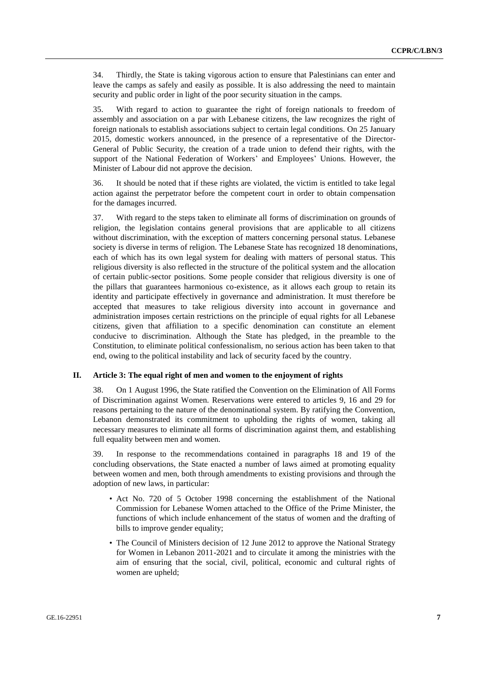34. Thirdly, the State is taking vigorous action to ensure that Palestinians can enter and leave the camps as safely and easily as possible. It is also addressing the need to maintain security and public order in light of the poor security situation in the camps.

35. With regard to action to guarantee the right of foreign nationals to freedom of assembly and association on a par with Lebanese citizens, the law recognizes the right of foreign nationals to establish associations subject to certain legal conditions. On 25 January 2015, domestic workers announced, in the presence of a representative of the Director-General of Public Security, the creation of a trade union to defend their rights, with the support of the National Federation of Workers' and Employees' Unions. However, the Minister of Labour did not approve the decision.

36. It should be noted that if these rights are violated, the victim is entitled to take legal action against the perpetrator before the competent court in order to obtain compensation for the damages incurred.

37. With regard to the steps taken to eliminate all forms of discrimination on grounds of religion, the legislation contains general provisions that are applicable to all citizens without discrimination, with the exception of matters concerning personal status. Lebanese society is diverse in terms of religion. The Lebanese State has recognized 18 denominations, each of which has its own legal system for dealing with matters of personal status. This religious diversity is also reflected in the structure of the political system and the allocation of certain public-sector positions. Some people consider that religious diversity is one of the pillars that guarantees harmonious co-existence, as it allows each group to retain its identity and participate effectively in governance and administration. It must therefore be accepted that measures to take religious diversity into account in governance and administration imposes certain restrictions on the principle of equal rights for all Lebanese citizens, given that affiliation to a specific denomination can constitute an element conducive to discrimination. Although the State has pledged, in the preamble to the Constitution, to eliminate political confessionalism, no serious action has been taken to that end, owing to the political instability and lack of security faced by the country.

#### **II. Article 3: The equal right of men and women to the enjoyment of rights**

38. On 1 August 1996, the State ratified the Convention on the Elimination of All Forms of Discrimination against Women. Reservations were entered to articles 9, 16 and 29 for reasons pertaining to the nature of the denominational system. By ratifying the Convention, Lebanon demonstrated its commitment to upholding the rights of women, taking all necessary measures to eliminate all forms of discrimination against them, and establishing full equality between men and women.

39. In response to the recommendations contained in paragraphs 18 and 19 of the concluding observations, the State enacted a number of laws aimed at promoting equality between women and men, both through amendments to existing provisions and through the adoption of new laws, in particular:

- Act No. 720 of 5 October 1998 concerning the establishment of the National Commission for Lebanese Women attached to the Office of the Prime Minister, the functions of which include enhancement of the status of women and the drafting of bills to improve gender equality;
- The Council of Ministers decision of 12 June 2012 to approve the National Strategy for Women in Lebanon 2011-2021 and to circulate it among the ministries with the aim of ensuring that the social, civil, political, economic and cultural rights of women are upheld;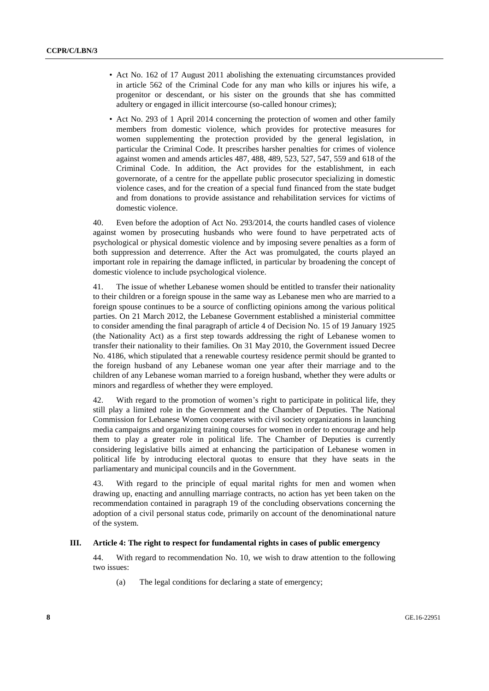- Act No. 162 of 17 August 2011 abolishing the extenuating circumstances provided in article 562 of the Criminal Code for any man who kills or injures his wife, a progenitor or descendant, or his sister on the grounds that she has committed adultery or engaged in illicit intercourse (so-called honour crimes);
- Act No. 293 of 1 April 2014 concerning the protection of women and other family members from domestic violence, which provides for protective measures for women supplementing the protection provided by the general legislation, in particular the Criminal Code. It prescribes harsher penalties for crimes of violence against women and amends articles 487, 488, 489, 523, 527, 547, 559 and 618 of the Criminal Code. In addition, the Act provides for the establishment, in each governorate, of a centre for the appellate public prosecutor specializing in domestic violence cases, and for the creation of a special fund financed from the state budget and from donations to provide assistance and rehabilitation services for victims of domestic violence.

40. Even before the adoption of Act No. 293/2014, the courts handled cases of violence against women by prosecuting husbands who were found to have perpetrated acts of psychological or physical domestic violence and by imposing severe penalties as a form of both suppression and deterrence. After the Act was promulgated, the courts played an important role in repairing the damage inflicted, in particular by broadening the concept of domestic violence to include psychological violence.

41. The issue of whether Lebanese women should be entitled to transfer their nationality to their children or a foreign spouse in the same way as Lebanese men who are married to a foreign spouse continues to be a source of conflicting opinions among the various political parties. On 21 March 2012, the Lebanese Government established a ministerial committee to consider amending the final paragraph of article 4 of Decision No. 15 of 19 January 1925 (the Nationality Act) as a first step towards addressing the right of Lebanese women to transfer their nationality to their families. On 31 May 2010, the Government issued Decree No. 4186, which stipulated that a renewable courtesy residence permit should be granted to the foreign husband of any Lebanese woman one year after their marriage and to the children of any Lebanese woman married to a foreign husband, whether they were adults or minors and regardless of whether they were employed.

42. With regard to the promotion of women's right to participate in political life, they still play a limited role in the Government and the Chamber of Deputies. The National Commission for Lebanese Women cooperates with civil society organizations in launching media campaigns and organizing training courses for women in order to encourage and help them to play a greater role in political life. The Chamber of Deputies is currently considering legislative bills aimed at enhancing the participation of Lebanese women in political life by introducing electoral quotas to ensure that they have seats in the parliamentary and municipal councils and in the Government.

43. With regard to the principle of equal marital rights for men and women when drawing up, enacting and annulling marriage contracts, no action has yet been taken on the recommendation contained in paragraph 19 of the concluding observations concerning the adoption of a civil personal status code, primarily on account of the denominational nature of the system.

#### **III. Article 4: The right to respect for fundamental rights in cases of public emergency**

44. With regard to recommendation No. 10, we wish to draw attention to the following two issues:

(a) The legal conditions for declaring a state of emergency;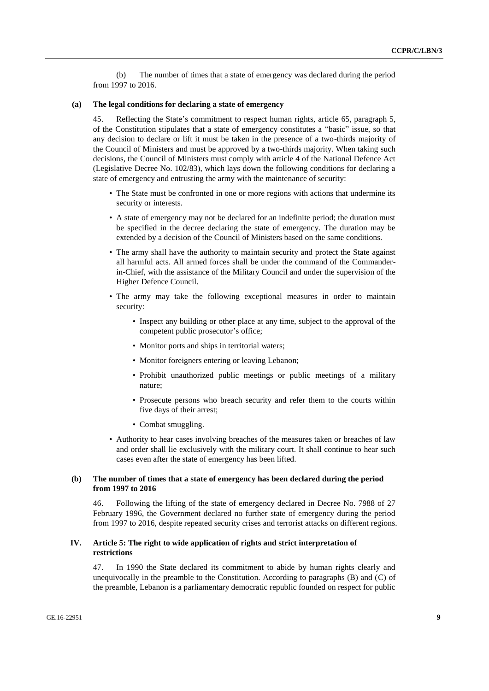(b) The number of times that a state of emergency was declared during the period from 1997 to 2016.

#### **(a) The legal conditions for declaring a state of emergency**

45. Reflecting the State's commitment to respect human rights, article 65, paragraph 5, of the Constitution stipulates that a state of emergency constitutes a "basic" issue, so that any decision to declare or lift it must be taken in the presence of a two-thirds majority of the Council of Ministers and must be approved by a two-thirds majority. When taking such decisions, the Council of Ministers must comply with article 4 of the National Defence Act (Legislative Decree No. 102/83), which lays down the following conditions for declaring a state of emergency and entrusting the army with the maintenance of security:

- The State must be confronted in one or more regions with actions that undermine its security or interests.
- A state of emergency may not be declared for an indefinite period; the duration must be specified in the decree declaring the state of emergency. The duration may be extended by a decision of the Council of Ministers based on the same conditions.
- The army shall have the authority to maintain security and protect the State against all harmful acts. All armed forces shall be under the command of the Commanderin-Chief, with the assistance of the Military Council and under the supervision of the Higher Defence Council.
- The army may take the following exceptional measures in order to maintain security:
	- Inspect any building or other place at any time, subject to the approval of the competent public prosecutor's office;
	- Monitor ports and ships in territorial waters;
	- Monitor foreigners entering or leaving Lebanon;
	- Prohibit unauthorized public meetings or public meetings of a military nature;
	- Prosecute persons who breach security and refer them to the courts within five days of their arrest;
	- Combat smuggling.
- Authority to hear cases involving breaches of the measures taken or breaches of law and order shall lie exclusively with the military court. It shall continue to hear such cases even after the state of emergency has been lifted.

#### **(b) The number of times that a state of emergency has been declared during the period from 1997 to 2016**

46. Following the lifting of the state of emergency declared in Decree No. 7988 of 27 February 1996, the Government declared no further state of emergency during the period from 1997 to 2016, despite repeated security crises and terrorist attacks on different regions.

#### **IV. Article 5: The right to wide application of rights and strict interpretation of restrictions**

47. In 1990 the State declared its commitment to abide by human rights clearly and unequivocally in the preamble to the Constitution. According to paragraphs (B) and (C) of the preamble, Lebanon is a parliamentary democratic republic founded on respect for public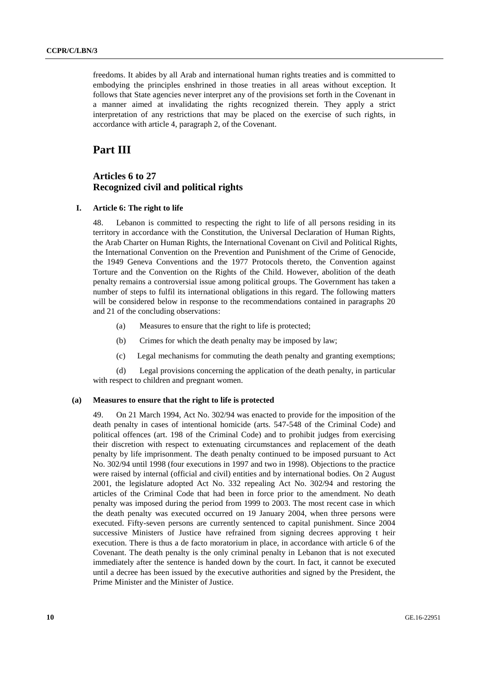freedoms. It abides by all Arab and international human rights treaties and is committed to embodying the principles enshrined in those treaties in all areas without exception. It follows that State agencies never interpret any of the provisions set forth in the Covenant in a manner aimed at invalidating the rights recognized therein. They apply a strict interpretation of any restrictions that may be placed on the exercise of such rights, in accordance with article 4, paragraph 2, of the Covenant.

## **Part III**

### **Articles 6 to 27 Recognized civil and political rights**

#### **I. Article 6: The right to life**

48. Lebanon is committed to respecting the right to life of all persons residing in its territory in accordance with the Constitution, the Universal Declaration of Human Rights, the Arab Charter on Human Rights, the International Covenant on Civil and Political Rights, the International Convention on the Prevention and Punishment of the Crime of Genocide, the 1949 Geneva Conventions and the 1977 Protocols thereto, the Convention against Torture and the Convention on the Rights of the Child. However, abolition of the death penalty remains a controversial issue among political groups. The Government has taken a number of steps to fulfil its international obligations in this regard. The following matters will be considered below in response to the recommendations contained in paragraphs 20 and 21 of the concluding observations:

- (a) Measures to ensure that the right to life is protected;
- (b) Crimes for which the death penalty may be imposed by law;
- (c) Legal mechanisms for commuting the death penalty and granting exemptions;

(d) Legal provisions concerning the application of the death penalty, in particular with respect to children and pregnant women.

#### **(a) Measures to ensure that the right to life is protected**

49. On 21 March 1994, Act No. 302/94 was enacted to provide for the imposition of the death penalty in cases of intentional homicide (arts. 547-548 of the Criminal Code) and political offences (art. 198 of the Criminal Code) and to prohibit judges from exercising their discretion with respect to extenuating circumstances and replacement of the death penalty by life imprisonment. The death penalty continued to be imposed pursuant to Act No. 302/94 until 1998 (four executions in 1997 and two in 1998). Objections to the practice were raised by internal (official and civil) entities and by international bodies. On 2 August 2001, the legislature adopted Act No. 332 repealing Act No. 302/94 and restoring the articles of the Criminal Code that had been in force prior to the amendment. No death penalty was imposed during the period from 1999 to 2003. The most recent case in which the death penalty was executed occurred on 19 January 2004, when three persons were executed. Fifty-seven persons are currently sentenced to capital punishment. Since 2004 successive Ministers of Justice have refrained from signing decrees approving t heir execution. There is thus a de facto moratorium in place, in accordance with article 6 of the Covenant. The death penalty is the only criminal penalty in Lebanon that is not executed immediately after the sentence is handed down by the court. In fact, it cannot be executed until a decree has been issued by the executive authorities and signed by the President, the Prime Minister and the Minister of Justice.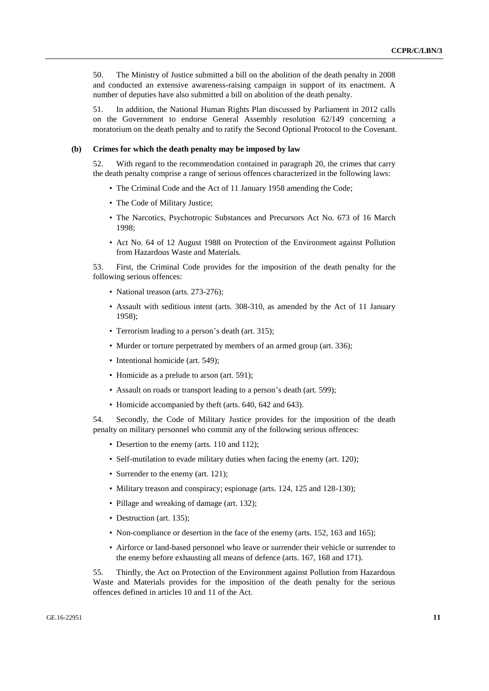50. The Ministry of Justice submitted a bill on the abolition of the death penalty in 2008 and conducted an extensive awareness-raising campaign in support of its enactment. A number of deputies have also submitted a bill on abolition of the death penalty.

51. In addition, the National Human Rights Plan discussed by Parliament in 2012 calls on the Government to endorse General Assembly resolution 62/149 concerning a moratorium on the death penalty and to ratify the Second Optional Protocol to the Covenant.

#### **(b) Crimes for which the death penalty may be imposed by law**

52. With regard to the recommendation contained in paragraph 20, the crimes that carry the death penalty comprise a range of serious offences characterized in the following laws:

- The Criminal Code and the Act of 11 January 1958 amending the Code;
- The Code of Military Justice;
- The Narcotics, Psychotropic Substances and Precursors Act No. 673 of 16 March 1998;
- Act No. 64 of 12 August 1988 on Protection of the Environment against Pollution from Hazardous Waste and Materials.

53. First, the Criminal Code provides for the imposition of the death penalty for the following serious offences:

- National treason (arts. 273-276);
- Assault with seditious intent (arts. 308-310, as amended by the Act of 11 January 1958);
- Terrorism leading to a person's death (art. 315);
- Murder or torture perpetrated by members of an armed group (art. 336);
- Intentional homicide (art. 549);
- Homicide as a prelude to arson (art. 591);
- Assault on roads or transport leading to a person's death (art. 599);
- Homicide accompanied by theft (arts. 640, 642 and 643).

54. Secondly, the Code of Military Justice provides for the imposition of the death penalty on military personnel who commit any of the following serious offences:

- Desertion to the enemy (arts. 110 and 112);
- Self-mutilation to evade military duties when facing the enemy (art. 120);
- Surrender to the enemy (art. 121);
- Military treason and conspiracy; espionage (arts. 124, 125 and 128-130);
- Pillage and wreaking of damage (art. 132);
- Destruction (art. 135);
- Non-compliance or desertion in the face of the enemy (arts. 152, 163 and 165);
- Airforce or land-based personnel who leave or surrender their vehicle or surrender to the enemy before exhausting all means of defence (arts. 167, 168 and 171).

55. Thirdly, the Act on Protection of the Environment against Pollution from Hazardous Waste and Materials provides for the imposition of the death penalty for the serious offences defined in articles 10 and 11 of the Act.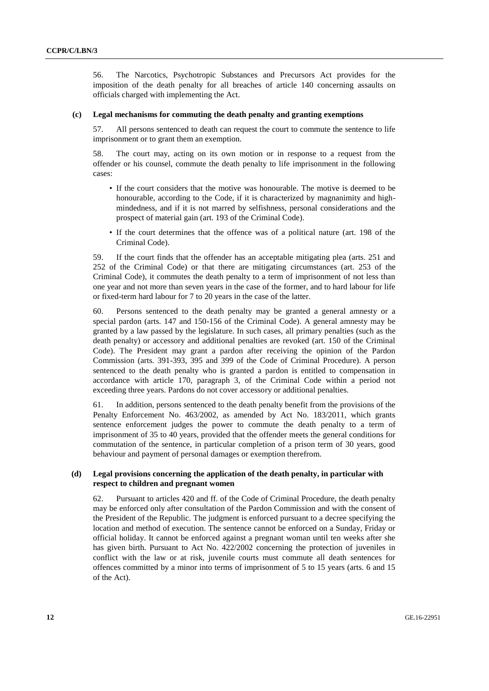56. The Narcotics, Psychotropic Substances and Precursors Act provides for the imposition of the death penalty for all breaches of article 140 concerning assaults on officials charged with implementing the Act.

#### **(c) Legal mechanisms for commuting the death penalty and granting exemptions**

57. All persons sentenced to death can request the court to commute the sentence to life imprisonment or to grant them an exemption.

58. The court may, acting on its own motion or in response to a request from the offender or his counsel, commute the death penalty to life imprisonment in the following cases:

- If the court considers that the motive was honourable. The motive is deemed to be honourable, according to the Code, if it is characterized by magnanimity and highmindedness, and if it is not marred by selfishness, personal considerations and the prospect of material gain (art. 193 of the Criminal Code).
- If the court determines that the offence was of a political nature (art. 198 of the Criminal Code).

59. If the court finds that the offender has an acceptable mitigating plea (arts. 251 and 252 of the Criminal Code) or that there are mitigating circumstances (art. 253 of the Criminal Code), it commutes the death penalty to a term of imprisonment of not less than one year and not more than seven years in the case of the former, and to hard labour for life or fixed-term hard labour for 7 to 20 years in the case of the latter.

60. Persons sentenced to the death penalty may be granted a general amnesty or a special pardon (arts. 147 and 150-156 of the Criminal Code). A general amnesty may be granted by a law passed by the legislature. In such cases, all primary penalties (such as the death penalty) or accessory and additional penalties are revoked (art. 150 of the Criminal Code). The President may grant a pardon after receiving the opinion of the Pardon Commission (arts. 391-393, 395 and 399 of the Code of Criminal Procedure). A person sentenced to the death penalty who is granted a pardon is entitled to compensation in accordance with article 170, paragraph 3, of the Criminal Code within a period not exceeding three years. Pardons do not cover accessory or additional penalties.

61. In addition, persons sentenced to the death penalty benefit from the provisions of the Penalty Enforcement No. 463/2002, as amended by Act No. 183/2011, which grants sentence enforcement judges the power to commute the death penalty to a term of imprisonment of 35 to 40 years, provided that the offender meets the general conditions for commutation of the sentence, in particular completion of a prison term of 30 years, good behaviour and payment of personal damages or exemption therefrom.

#### **(d) Legal provisions concerning the application of the death penalty, in particular with respect to children and pregnant women**

62. Pursuant to articles 420 and ff. of the Code of Criminal Procedure, the death penalty may be enforced only after consultation of the Pardon Commission and with the consent of the President of the Republic. The judgment is enforced pursuant to a decree specifying the location and method of execution. The sentence cannot be enforced on a Sunday, Friday or official holiday. It cannot be enforced against a pregnant woman until ten weeks after she has given birth. Pursuant to Act No. 422/2002 concerning the protection of juveniles in conflict with the law or at risk, juvenile courts must commute all death sentences for offences committed by a minor into terms of imprisonment of 5 to 15 years (arts. 6 and 15 of the Act).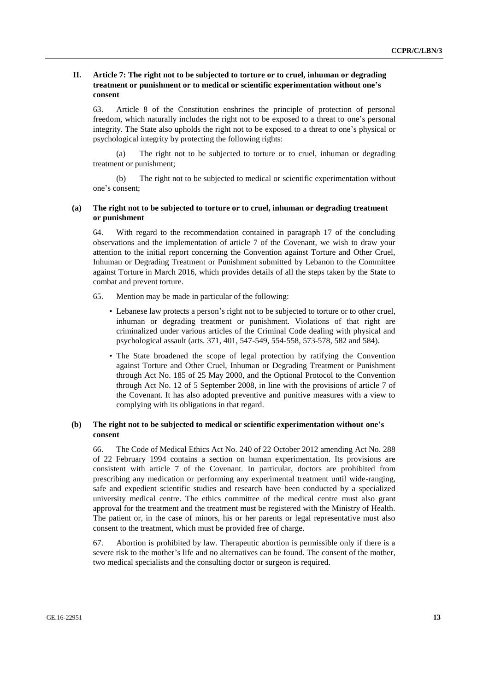#### **II. Article 7: The right not to be subjected to torture or to cruel, inhuman or degrading treatment or punishment or to medical or scientific experimentation without one's consent**

63. Article 8 of the Constitution enshrines the principle of protection of personal freedom, which naturally includes the right not to be exposed to a threat to one's personal integrity. The State also upholds the right not to be exposed to a threat to one's physical or psychological integrity by protecting the following rights:

(a) The right not to be subjected to torture or to cruel, inhuman or degrading treatment or punishment;

(b) The right not to be subjected to medical or scientific experimentation without one's consent;

#### **(a) The right not to be subjected to torture or to cruel, inhuman or degrading treatment or punishment**

64. With regard to the recommendation contained in paragraph 17 of the concluding observations and the implementation of article 7 of the Covenant, we wish to draw your attention to the initial report concerning the Convention against Torture and Other Cruel, Inhuman or Degrading Treatment or Punishment submitted by Lebanon to the Committee against Torture in March 2016, which provides details of all the steps taken by the State to combat and prevent torture.

- 65. Mention may be made in particular of the following:
	- Lebanese law protects a person's right not to be subjected to torture or to other cruel, inhuman or degrading treatment or punishment. Violations of that right are criminalized under various articles of the Criminal Code dealing with physical and psychological assault (arts. 371, 401, 547-549, 554-558, 573-578, 582 and 584).
	- The State broadened the scope of legal protection by ratifying the Convention against Torture and Other Cruel, Inhuman or Degrading Treatment or Punishment through Act No. 185 of 25 May 2000, and the Optional Protocol to the Convention through Act No. 12 of 5 September 2008, in line with the provisions of article 7 of the Covenant. It has also adopted preventive and punitive measures with a view to complying with its obligations in that regard.

#### **(b) The right not to be subjected to medical or scientific experimentation without one's consent**

66. The Code of Medical Ethics Act No. 240 of 22 October 2012 amending Act No. 288 of 22 February 1994 contains a section on human experimentation. Its provisions are consistent with article 7 of the Covenant. In particular, doctors are prohibited from prescribing any medication or performing any experimental treatment until wide-ranging, safe and expedient scientific studies and research have been conducted by a specialized university medical centre. The ethics committee of the medical centre must also grant approval for the treatment and the treatment must be registered with the Ministry of Health. The patient or, in the case of minors, his or her parents or legal representative must also consent to the treatment, which must be provided free of charge.

67. Abortion is prohibited by law. Therapeutic abortion is permissible only if there is a severe risk to the mother's life and no alternatives can be found. The consent of the mother, two medical specialists and the consulting doctor or surgeon is required.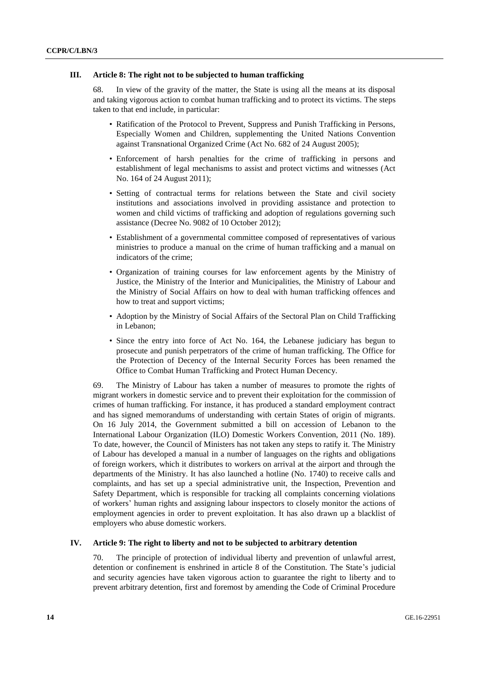#### **III. Article 8: The right not to be subjected to human trafficking**

68. In view of the gravity of the matter, the State is using all the means at its disposal and taking vigorous action to combat human trafficking and to protect its victims. The steps taken to that end include, in particular:

- Ratification of the Protocol to Prevent, Suppress and Punish Trafficking in Persons, Especially Women and Children, supplementing the United Nations Convention against Transnational Organized Crime (Act No. 682 of 24 August 2005);
- Enforcement of harsh penalties for the crime of trafficking in persons and establishment of legal mechanisms to assist and protect victims and witnesses (Act No. 164 of 24 August 2011);
- Setting of contractual terms for relations between the State and civil society institutions and associations involved in providing assistance and protection to women and child victims of trafficking and adoption of regulations governing such assistance (Decree No. 9082 of 10 October 2012);
- Establishment of a governmental committee composed of representatives of various ministries to produce a manual on the crime of human trafficking and a manual on indicators of the crime;
- Organization of training courses for law enforcement agents by the Ministry of Justice, the Ministry of the Interior and Municipalities, the Ministry of Labour and the Ministry of Social Affairs on how to deal with human trafficking offences and how to treat and support victims;
- Adoption by the Ministry of Social Affairs of the Sectoral Plan on Child Trafficking in Lebanon;
- Since the entry into force of Act No. 164, the Lebanese judiciary has begun to prosecute and punish perpetrators of the crime of human trafficking. The Office for the Protection of Decency of the Internal Security Forces has been renamed the Office to Combat Human Trafficking and Protect Human Decency.

69. The Ministry of Labour has taken a number of measures to promote the rights of migrant workers in domestic service and to prevent their exploitation for the commission of crimes of human trafficking. For instance, it has produced a standard employment contract and has signed memorandums of understanding with certain States of origin of migrants. On 16 July 2014, the Government submitted a bill on accession of Lebanon to the International Labour Organization (ILO) Domestic Workers Convention, 2011 (No. 189). To date, however, the Council of Ministers has not taken any steps to ratify it. The Ministry of Labour has developed a manual in a number of languages on the rights and obligations of foreign workers, which it distributes to workers on arrival at the airport and through the departments of the Ministry. It has also launched a hotline (No. 1740) to receive calls and complaints, and has set up a special administrative unit, the Inspection, Prevention and Safety Department, which is responsible for tracking all complaints concerning violations of workers' human rights and assigning labour inspectors to closely monitor the actions of employment agencies in order to prevent exploitation. It has also drawn up a blacklist of employers who abuse domestic workers.

#### **IV. Article 9: The right to liberty and not to be subjected to arbitrary detention**

70. The principle of protection of individual liberty and prevention of unlawful arrest, detention or confinement is enshrined in article 8 of the Constitution. The State's judicial and security agencies have taken vigorous action to guarantee the right to liberty and to prevent arbitrary detention, first and foremost by amending the Code of Criminal Procedure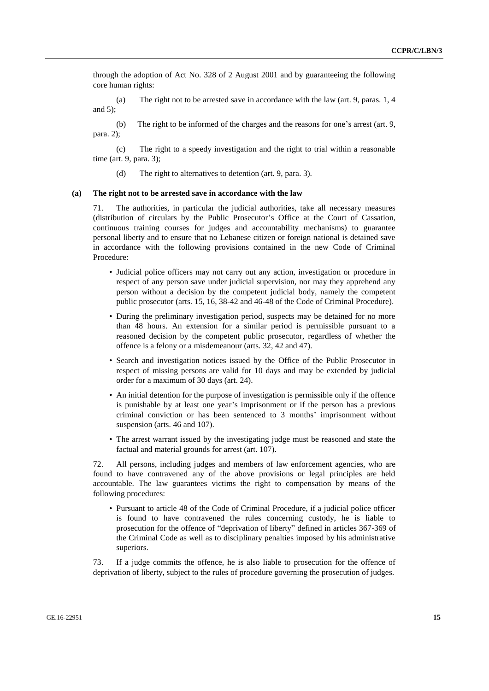through the adoption of Act No. 328 of 2 August 2001 and by guaranteeing the following core human rights:

(a) The right not to be arrested save in accordance with the law (art. 9, paras. 1, 4 and  $5$ );

(b) The right to be informed of the charges and the reasons for one's arrest (art. 9, para. 2);

(c) The right to a speedy investigation and the right to trial within a reasonable time (art. 9, para. 3);

(d) The right to alternatives to detention (art. 9, para. 3).

#### **(a) The right not to be arrested save in accordance with the law**

71. The authorities, in particular the judicial authorities, take all necessary measures (distribution of circulars by the Public Prosecutor's Office at the Court of Cassation, continuous training courses for judges and accountability mechanisms) to guarantee personal liberty and to ensure that no Lebanese citizen or foreign national is detained save in accordance with the following provisions contained in the new Code of Criminal Procedure:

- Judicial police officers may not carry out any action, investigation or procedure in respect of any person save under judicial supervision, nor may they apprehend any person without a decision by the competent judicial body, namely the competent public prosecutor (arts. 15, 16, 38-42 and 46-48 of the Code of Criminal Procedure).
- During the preliminary investigation period, suspects may be detained for no more than 48 hours. An extension for a similar period is permissible pursuant to a reasoned decision by the competent public prosecutor, regardless of whether the offence is a felony or a misdemeanour (arts. 32, 42 and 47).
- Search and investigation notices issued by the Office of the Public Prosecutor in respect of missing persons are valid for 10 days and may be extended by judicial order for a maximum of 30 days (art. 24).
- An initial detention for the purpose of investigation is permissible only if the offence is punishable by at least one year's imprisonment or if the person has a previous criminal conviction or has been sentenced to 3 months' imprisonment without suspension (arts. 46 and 107).
- The arrest warrant issued by the investigating judge must be reasoned and state the factual and material grounds for arrest (art. 107).

72. All persons, including judges and members of law enforcement agencies, who are found to have contravened any of the above provisions or legal principles are held accountable. The law guarantees victims the right to compensation by means of the following procedures:

• Pursuant to article 48 of the Code of Criminal Procedure, if a judicial police officer is found to have contravened the rules concerning custody, he is liable to prosecution for the offence of "deprivation of liberty" defined in articles 367-369 of the Criminal Code as well as to disciplinary penalties imposed by his administrative superiors.

73. If a judge commits the offence, he is also liable to prosecution for the offence of deprivation of liberty, subject to the rules of procedure governing the prosecution of judges.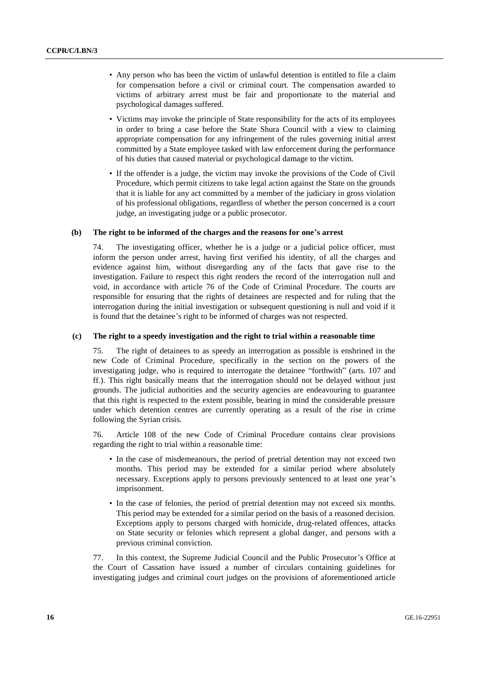- Any person who has been the victim of unlawful detention is entitled to file a claim for compensation before a civil or criminal court. The compensation awarded to victims of arbitrary arrest must be fair and proportionate to the material and psychological damages suffered.
- Victims may invoke the principle of State responsibility for the acts of its employees in order to bring a case before the State Shura Council with a view to claiming appropriate compensation for any infringement of the rules governing initial arrest committed by a State employee tasked with law enforcement during the performance of his duties that caused material or psychological damage to the victim.
- If the offender is a judge, the victim may invoke the provisions of the Code of Civil Procedure, which permit citizens to take legal action against the State on the grounds that it is liable for any act committed by a member of the judiciary in gross violation of his professional obligations, regardless of whether the person concerned is a court judge, an investigating judge or a public prosecutor.

#### **(b) The right to be informed of the charges and the reasons for one's arrest**

74. The investigating officer, whether he is a judge or a judicial police officer, must inform the person under arrest, having first verified his identity, of all the charges and evidence against him, without disregarding any of the facts that gave rise to the investigation. Failure to respect this right renders the record of the interrogation null and void, in accordance with article 76 of the Code of Criminal Procedure. The courts are responsible for ensuring that the rights of detainees are respected and for ruling that the interrogation during the initial investigation or subsequent questioning is null and void if it is found that the detainee's right to be informed of charges was not respected.

#### **(c) The right to a speedy investigation and the right to trial within a reasonable time**

75. The right of detainees to as speedy an interrogation as possible is enshrined in the new Code of Criminal Procedure, specifically in the section on the powers of the investigating judge, who is required to interrogate the detainee "forthwith" (arts. 107 and ff.). This right basically means that the interrogation should not be delayed without just grounds. The judicial authorities and the security agencies are endeavouring to guarantee that this right is respected to the extent possible, bearing in mind the considerable pressure under which detention centres are currently operating as a result of the rise in crime following the Syrian crisis.

76. Article 108 of the new Code of Criminal Procedure contains clear provisions regarding the right to trial within a reasonable time:

- In the case of misdemeanours, the period of pretrial detention may not exceed two months. This period may be extended for a similar period where absolutely necessary. Exceptions apply to persons previously sentenced to at least one year's imprisonment.
- In the case of felonies, the period of pretrial detention may not exceed six months. This period may be extended for a similar period on the basis of a reasoned decision. Exceptions apply to persons charged with homicide, drug-related offences, attacks on State security or felonies which represent a global danger, and persons with a previous criminal conviction.

77. In this context, the Supreme Judicial Council and the Public Prosecutor's Office at the Court of Cassation have issued a number of circulars containing guidelines for investigating judges and criminal court judges on the provisions of aforementioned article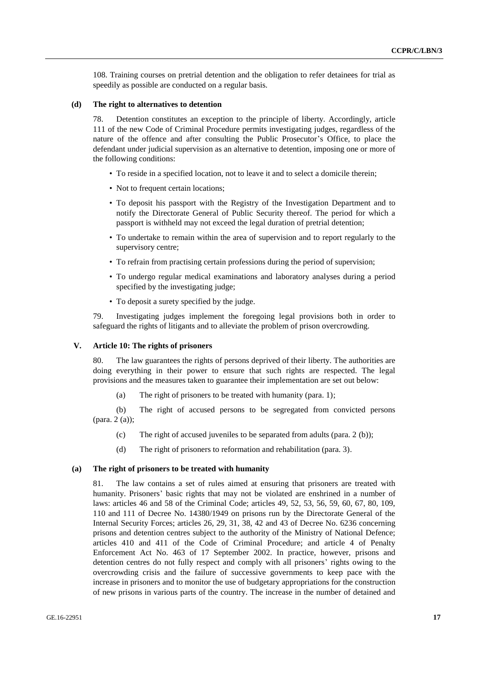108. Training courses on pretrial detention and the obligation to refer detainees for trial as speedily as possible are conducted on a regular basis.

#### **(d) The right to alternatives to detention**

78. Detention constitutes an exception to the principle of liberty. Accordingly, article 111 of the new Code of Criminal Procedure permits investigating judges, regardless of the nature of the offence and after consulting the Public Prosecutor's Office, to place the defendant under judicial supervision as an alternative to detention, imposing one or more of the following conditions:

- To reside in a specified location, not to leave it and to select a domicile therein;
- Not to frequent certain locations;
- To deposit his passport with the Registry of the Investigation Department and to notify the Directorate General of Public Security thereof. The period for which a passport is withheld may not exceed the legal duration of pretrial detention;
- To undertake to remain within the area of supervision and to report regularly to the supervisory centre;
- To refrain from practising certain professions during the period of supervision;
- To undergo regular medical examinations and laboratory analyses during a period specified by the investigating judge;
- To deposit a surety specified by the judge.

79. Investigating judges implement the foregoing legal provisions both in order to safeguard the rights of litigants and to alleviate the problem of prison overcrowding.

#### **V. Article 10: The rights of prisoners**

80. The law guarantees the rights of persons deprived of their liberty. The authorities are doing everything in their power to ensure that such rights are respected. The legal provisions and the measures taken to guarantee their implementation are set out below:

(a) The right of prisoners to be treated with humanity (para. 1);

(b) The right of accused persons to be segregated from convicted persons (para. 2 (a));

- (c) The right of accused juveniles to be separated from adults (para. 2 (b));
- (d) The right of prisoners to reformation and rehabilitation (para. 3).

#### **(a) The right of prisoners to be treated with humanity**

81. The law contains a set of rules aimed at ensuring that prisoners are treated with humanity. Prisoners' basic rights that may not be violated are enshrined in a number of laws: articles 46 and 58 of the Criminal Code; articles 49, 52, 53, 56, 59, 60, 67, 80, 109, 110 and 111 of Decree No. 14380/1949 on prisons run by the Directorate General of the Internal Security Forces; articles 26, 29, 31, 38, 42 and 43 of Decree No. 6236 concerning prisons and detention centres subject to the authority of the Ministry of National Defence; articles 410 and 411 of the Code of Criminal Procedure; and article 4 of Penalty Enforcement Act No. 463 of 17 September 2002. In practice, however, prisons and detention centres do not fully respect and comply with all prisoners' rights owing to the overcrowding crisis and the failure of successive governments to keep pace with the increase in prisoners and to monitor the use of budgetary appropriations for the construction of new prisons in various parts of the country. The increase in the number of detained and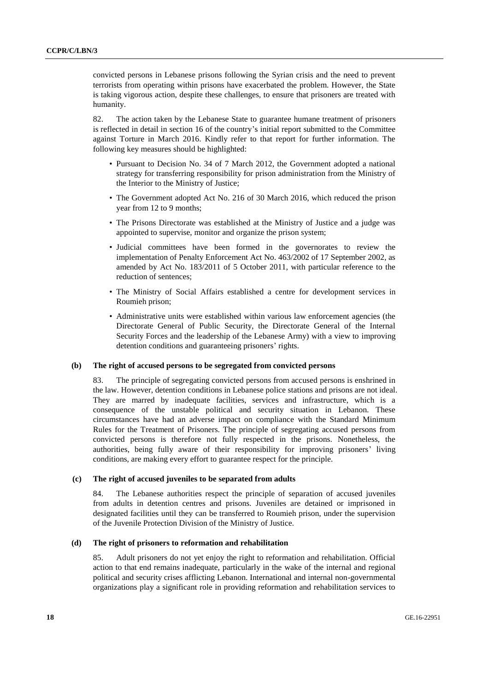convicted persons in Lebanese prisons following the Syrian crisis and the need to prevent terrorists from operating within prisons have exacerbated the problem. However, the State is taking vigorous action, despite these challenges, to ensure that prisoners are treated with humanity.

82. The action taken by the Lebanese State to guarantee humane treatment of prisoners is reflected in detail in section 16 of the country's initial report submitted to the Committee against Torture in March 2016. Kindly refer to that report for further information. The following key measures should be highlighted:

- Pursuant to Decision No. 34 of 7 March 2012, the Government adopted a national strategy for transferring responsibility for prison administration from the Ministry of the Interior to the Ministry of Justice;
- The Government adopted Act No. 216 of 30 March 2016, which reduced the prison year from 12 to 9 months;
- The Prisons Directorate was established at the Ministry of Justice and a judge was appointed to supervise, monitor and organize the prison system;
- Judicial committees have been formed in the governorates to review the implementation of Penalty Enforcement Act No. 463/2002 of 17 September 2002, as amended by Act No. 183/2011 of 5 October 2011, with particular reference to the reduction of sentences;
- The Ministry of Social Affairs established a centre for development services in Roumieh prison;
- Administrative units were established within various law enforcement agencies (the Directorate General of Public Security, the Directorate General of the Internal Security Forces and the leadership of the Lebanese Army) with a view to improving detention conditions and guaranteeing prisoners' rights.

#### **(b) The right of accused persons to be segregated from convicted persons**

83. The principle of segregating convicted persons from accused persons is enshrined in the law. However, detention conditions in Lebanese police stations and prisons are not ideal. They are marred by inadequate facilities, services and infrastructure, which is a consequence of the unstable political and security situation in Lebanon. These circumstances have had an adverse impact on compliance with the Standard Minimum Rules for the Treatment of Prisoners. The principle of segregating accused persons from convicted persons is therefore not fully respected in the prisons. Nonetheless, the authorities, being fully aware of their responsibility for improving prisoners' living conditions, are making every effort to guarantee respect for the principle.

#### **(c) The right of accused juveniles to be separated from adults**

84. The Lebanese authorities respect the principle of separation of accused juveniles from adults in detention centres and prisons. Juveniles are detained or imprisoned in designated facilities until they can be transferred to Roumieh prison, under the supervision of the Juvenile Protection Division of the Ministry of Justice.

#### **(d) The right of prisoners to reformation and rehabilitation**

85. Adult prisoners do not yet enjoy the right to reformation and rehabilitation. Official action to that end remains inadequate, particularly in the wake of the internal and regional political and security crises afflicting Lebanon. International and internal non-governmental organizations play a significant role in providing reformation and rehabilitation services to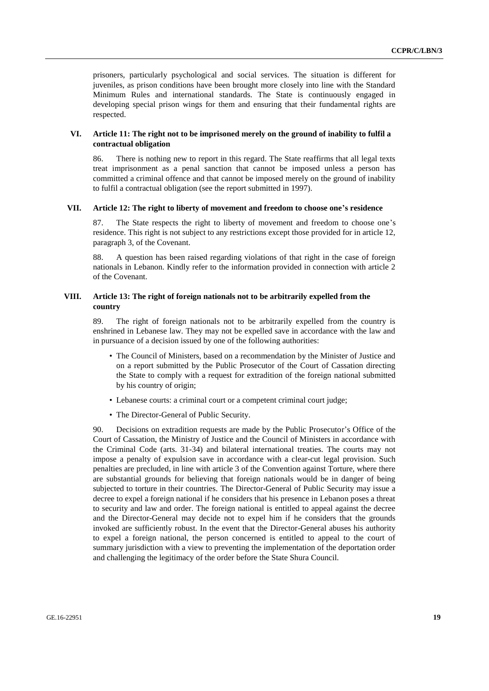prisoners, particularly psychological and social services. The situation is different for juveniles, as prison conditions have been brought more closely into line with the Standard Minimum Rules and international standards. The State is continuously engaged in developing special prison wings for them and ensuring that their fundamental rights are respected.

#### **VI. Article 11: The right not to be imprisoned merely on the ground of inability to fulfil a contractual obligation**

86. There is nothing new to report in this regard. The State reaffirms that all legal texts treat imprisonment as a penal sanction that cannot be imposed unless a person has committed a criminal offence and that cannot be imposed merely on the ground of inability to fulfil a contractual obligation (see the report submitted in 1997).

#### **VII. Article 12: The right to liberty of movement and freedom to choose one's residence**

87. The State respects the right to liberty of movement and freedom to choose one's residence. This right is not subject to any restrictions except those provided for in article 12, paragraph 3, of the Covenant.

88. A question has been raised regarding violations of that right in the case of foreign nationals in Lebanon. Kindly refer to the information provided in connection with article 2 of the Covenant.

#### **VIII. Article 13: The right of foreign nationals not to be arbitrarily expelled from the country**

89. The right of foreign nationals not to be arbitrarily expelled from the country is enshrined in Lebanese law. They may not be expelled save in accordance with the law and in pursuance of a decision issued by one of the following authorities:

- The Council of Ministers, based on a recommendation by the Minister of Justice and on a report submitted by the Public Prosecutor of the Court of Cassation directing the State to comply with a request for extradition of the foreign national submitted by his country of origin;
- Lebanese courts: a criminal court or a competent criminal court judge;
- The Director-General of Public Security.

90. Decisions on extradition requests are made by the Public Prosecutor's Office of the Court of Cassation, the Ministry of Justice and the Council of Ministers in accordance with the Criminal Code (arts. 31-34) and bilateral international treaties. The courts may not impose a penalty of expulsion save in accordance with a clear-cut legal provision. Such penalties are precluded, in line with article 3 of the Convention against Torture, where there are substantial grounds for believing that foreign nationals would be in danger of being subjected to torture in their countries. The Director-General of Public Security may issue a decree to expel a foreign national if he considers that his presence in Lebanon poses a threat to security and law and order. The foreign national is entitled to appeal against the decree and the Director-General may decide not to expel him if he considers that the grounds invoked are sufficiently robust. In the event that the Director-General abuses his authority to expel a foreign national, the person concerned is entitled to appeal to the court of summary jurisdiction with a view to preventing the implementation of the deportation order and challenging the legitimacy of the order before the State Shura Council.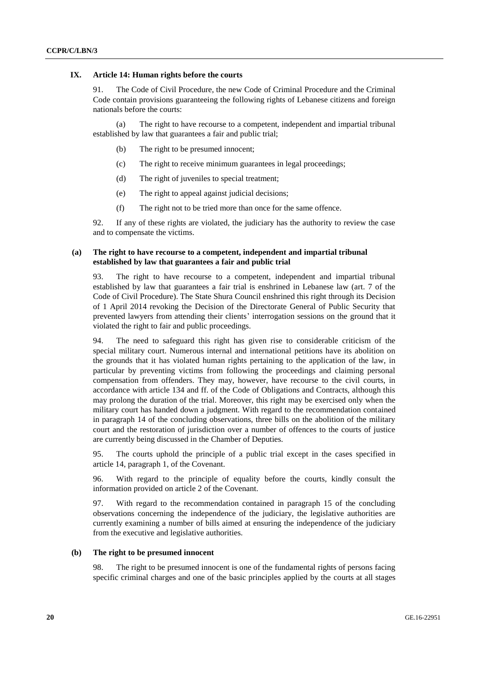#### **IX. Article 14: Human rights before the courts**

91. The Code of Civil Procedure, the new Code of Criminal Procedure and the Criminal Code contain provisions guaranteeing the following rights of Lebanese citizens and foreign nationals before the courts:

(a) The right to have recourse to a competent, independent and impartial tribunal established by law that guarantees a fair and public trial;

- (b) The right to be presumed innocent;
- (c) The right to receive minimum guarantees in legal proceedings;
- (d) The right of juveniles to special treatment;
- (e) The right to appeal against judicial decisions;
- (f) The right not to be tried more than once for the same offence.

92. If any of these rights are violated, the judiciary has the authority to review the case and to compensate the victims.

#### **(a) The right to have recourse to a competent, independent and impartial tribunal established by law that guarantees a fair and public trial**

93. The right to have recourse to a competent, independent and impartial tribunal established by law that guarantees a fair trial is enshrined in Lebanese law (art. 7 of the Code of Civil Procedure). The State Shura Council enshrined this right through its Decision of 1 April 2014 revoking the Decision of the Directorate General of Public Security that prevented lawyers from attending their clients' interrogation sessions on the ground that it violated the right to fair and public proceedings.

94. The need to safeguard this right has given rise to considerable criticism of the special military court. Numerous internal and international petitions have its abolition on the grounds that it has violated human rights pertaining to the application of the law, in particular by preventing victims from following the proceedings and claiming personal compensation from offenders. They may, however, have recourse to the civil courts, in accordance with article 134 and ff. of the Code of Obligations and Contracts, although this may prolong the duration of the trial. Moreover, this right may be exercised only when the military court has handed down a judgment. With regard to the recommendation contained in paragraph 14 of the concluding observations, three bills on the abolition of the military court and the restoration of jurisdiction over a number of offences to the courts of justice are currently being discussed in the Chamber of Deputies.

95. The courts uphold the principle of a public trial except in the cases specified in article 14, paragraph 1, of the Covenant.

96. With regard to the principle of equality before the courts, kindly consult the information provided on article 2 of the Covenant.

97. With regard to the recommendation contained in paragraph 15 of the concluding observations concerning the independence of the judiciary, the legislative authorities are currently examining a number of bills aimed at ensuring the independence of the judiciary from the executive and legislative authorities.

#### **(b) The right to be presumed innocent**

98. The right to be presumed innocent is one of the fundamental rights of persons facing specific criminal charges and one of the basic principles applied by the courts at all stages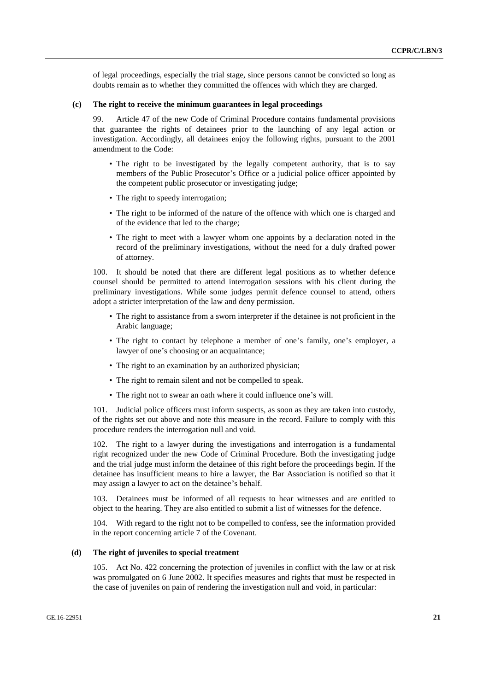of legal proceedings, especially the trial stage, since persons cannot be convicted so long as doubts remain as to whether they committed the offences with which they are charged.

#### **(c) The right to receive the minimum guarantees in legal proceedings**

99. Article 47 of the new Code of Criminal Procedure contains fundamental provisions that guarantee the rights of detainees prior to the launching of any legal action or investigation. Accordingly, all detainees enjoy the following rights, pursuant to the 2001 amendment to the Code:

- The right to be investigated by the legally competent authority, that is to say members of the Public Prosecutor's Office or a judicial police officer appointed by the competent public prosecutor or investigating judge;
- The right to speedy interrogation;
- The right to be informed of the nature of the offence with which one is charged and of the evidence that led to the charge;
- The right to meet with a lawyer whom one appoints by a declaration noted in the record of the preliminary investigations, without the need for a duly drafted power of attorney.

100. It should be noted that there are different legal positions as to whether defence counsel should be permitted to attend interrogation sessions with his client during the preliminary investigations. While some judges permit defence counsel to attend, others adopt a stricter interpretation of the law and deny permission.

- The right to assistance from a sworn interpreter if the detainee is not proficient in the Arabic language;
- The right to contact by telephone a member of one's family, one's employer, a lawyer of one's choosing or an acquaintance;
- The right to an examination by an authorized physician;
- The right to remain silent and not be compelled to speak.
- The right not to swear an oath where it could influence one's will.

101. Judicial police officers must inform suspects, as soon as they are taken into custody, of the rights set out above and note this measure in the record. Failure to comply with this procedure renders the interrogation null and void.

102. The right to a lawyer during the investigations and interrogation is a fundamental right recognized under the new Code of Criminal Procedure. Both the investigating judge and the trial judge must inform the detainee of this right before the proceedings begin. If the detainee has insufficient means to hire a lawyer, the Bar Association is notified so that it may assign a lawyer to act on the detainee's behalf.

103. Detainees must be informed of all requests to hear witnesses and are entitled to object to the hearing. They are also entitled to submit a list of witnesses for the defence.

104. With regard to the right not to be compelled to confess, see the information provided in the report concerning article 7 of the Covenant.

#### **(d) The right of juveniles to special treatment**

105. Act No. 422 concerning the protection of juveniles in conflict with the law or at risk was promulgated on 6 June 2002. It specifies measures and rights that must be respected in the case of juveniles on pain of rendering the investigation null and void, in particular: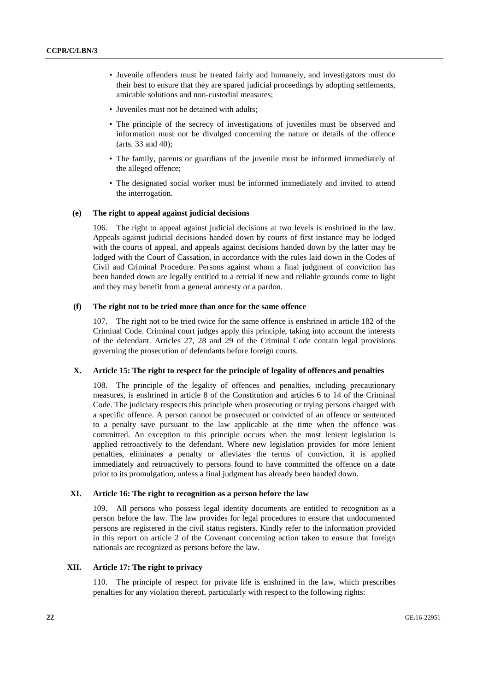- Juvenile offenders must be treated fairly and humanely, and investigators must do their best to ensure that they are spared judicial proceedings by adopting settlements, amicable solutions and non-custodial measures;
- Juveniles must not be detained with adults;
- The principle of the secrecy of investigations of juveniles must be observed and information must not be divulged concerning the nature or details of the offence (arts. 33 and 40);
- The family, parents or guardians of the juvenile must be informed immediately of the alleged offence;
- The designated social worker must be informed immediately and invited to attend the interrogation.

#### **(e) The right to appeal against judicial decisions**

106. The right to appeal against judicial decisions at two levels is enshrined in the law. Appeals against judicial decisions handed down by courts of first instance may be lodged with the courts of appeal, and appeals against decisions handed down by the latter may be lodged with the Court of Cassation, in accordance with the rules laid down in the Codes of Civil and Criminal Procedure. Persons against whom a final judgment of conviction has been handed down are legally entitled to a retrial if new and reliable grounds come to light and they may benefit from a general amnesty or a pardon.

#### **(f) The right not to be tried more than once for the same offence**

107. The right not to be tried twice for the same offence is enshrined in article 182 of the Criminal Code. Criminal court judges apply this principle, taking into account the interests of the defendant. Articles 27, 28 and 29 of the Criminal Code contain legal provisions governing the prosecution of defendants before foreign courts.

#### **X. Article 15: The right to respect for the principle of legality of offences and penalties**

108. The principle of the legality of offences and penalties, including precautionary measures, is enshrined in article 8 of the Constitution and articles 6 to 14 of the Criminal Code. The judiciary respects this principle when prosecuting or trying persons charged with a specific offence. A person cannot be prosecuted or convicted of an offence or sentenced to a penalty save pursuant to the law applicable at the time when the offence was committed. An exception to this principle occurs when the most lenient legislation is applied retroactively to the defendant. Where new legislation provides for more lenient penalties, eliminates a penalty or alleviates the terms of conviction, it is applied immediately and retroactively to persons found to have committed the offence on a date prior to its promulgation, unless a final judgment has already been handed down.

#### **XI. Article 16: The right to recognition as a person before the law**

109. All persons who possess legal identity documents are entitled to recognition as a person before the law. The law provides for legal procedures to ensure that undocumented persons are registered in the civil status registers. Kindly refer to the information provided in this report on article 2 of the Covenant concerning action taken to ensure that foreign nationals are recognized as persons before the law.

#### **XII. Article 17: The right to privacy**

110. The principle of respect for private life is enshrined in the law, which prescribes penalties for any violation thereof, particularly with respect to the following rights: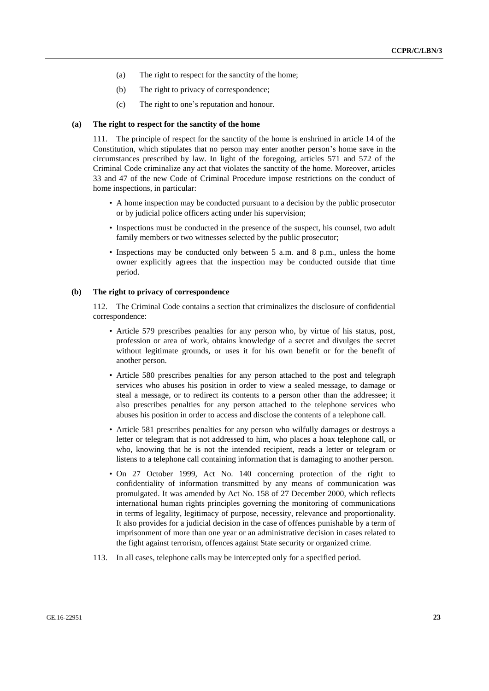- (a) The right to respect for the sanctity of the home;
- (b) The right to privacy of correspondence;
- (c) The right to one's reputation and honour.

#### **(a) The right to respect for the sanctity of the home**

111. The principle of respect for the sanctity of the home is enshrined in article 14 of the Constitution, which stipulates that no person may enter another person's home save in the circumstances prescribed by law. In light of the foregoing, articles 571 and 572 of the Criminal Code criminalize any act that violates the sanctity of the home. Moreover, articles 33 and 47 of the new Code of Criminal Procedure impose restrictions on the conduct of home inspections, in particular:

- A home inspection may be conducted pursuant to a decision by the public prosecutor or by judicial police officers acting under his supervision;
- Inspections must be conducted in the presence of the suspect, his counsel, two adult family members or two witnesses selected by the public prosecutor;
- Inspections may be conducted only between 5 a.m. and 8 p.m., unless the home owner explicitly agrees that the inspection may be conducted outside that time period.

#### **(b) The right to privacy of correspondence**

112. The Criminal Code contains a section that criminalizes the disclosure of confidential correspondence:

- Article 579 prescribes penalties for any person who, by virtue of his status, post, profession or area of work, obtains knowledge of a secret and divulges the secret without legitimate grounds, or uses it for his own benefit or for the benefit of another person.
- Article 580 prescribes penalties for any person attached to the post and telegraph services who abuses his position in order to view a sealed message, to damage or steal a message, or to redirect its contents to a person other than the addressee; it also prescribes penalties for any person attached to the telephone services who abuses his position in order to access and disclose the contents of a telephone call.
- Article 581 prescribes penalties for any person who wilfully damages or destroys a letter or telegram that is not addressed to him, who places a hoax telephone call, or who, knowing that he is not the intended recipient, reads a letter or telegram or listens to a telephone call containing information that is damaging to another person.
- On 27 October 1999, Act No. 140 concerning protection of the right to confidentiality of information transmitted by any means of communication was promulgated. It was amended by Act No. 158 of 27 December 2000, which reflects international human rights principles governing the monitoring of communications in terms of legality, legitimacy of purpose, necessity, relevance and proportionality. It also provides for a judicial decision in the case of offences punishable by a term of imprisonment of more than one year or an administrative decision in cases related to the fight against terrorism, offences against State security or organized crime.
- 113. In all cases, telephone calls may be intercepted only for a specified period.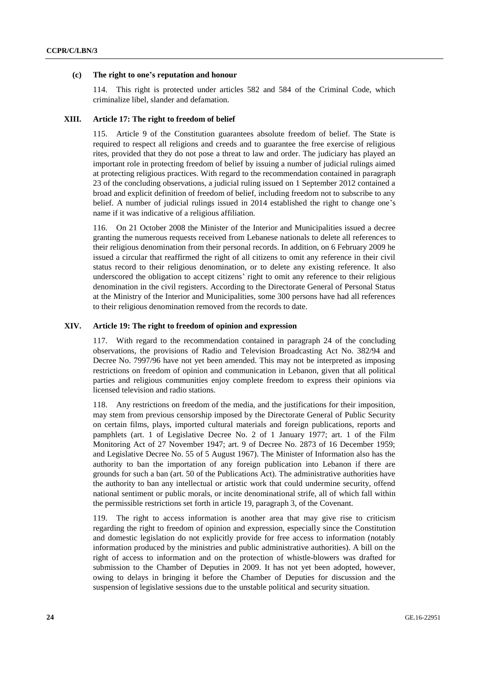#### **(c) The right to one's reputation and honour**

114. This right is protected under articles 582 and 584 of the Criminal Code, which criminalize libel, slander and defamation.

#### **XIII. Article 17: The right to freedom of belief**

115. Article 9 of the Constitution guarantees absolute freedom of belief. The State is required to respect all religions and creeds and to guarantee the free exercise of religious rites, provided that they do not pose a threat to law and order. The judiciary has played an important role in protecting freedom of belief by issuing a number of judicial rulings aimed at protecting religious practices. With regard to the recommendation contained in paragraph 23 of the concluding observations, a judicial ruling issued on 1 September 2012 contained a broad and explicit definition of freedom of belief, including freedom not to subscribe to any belief. A number of judicial rulings issued in 2014 established the right to change one's name if it was indicative of a religious affiliation.

116. On 21 October 2008 the Minister of the Interior and Municipalities issued a decree granting the numerous requests received from Lebanese nationals to delete all references to their religious denomination from their personal records. In addition, on 6 February 2009 he issued a circular that reaffirmed the right of all citizens to omit any reference in their civil status record to their religious denomination, or to delete any existing reference. It also underscored the obligation to accept citizens' right to omit any reference to their religious denomination in the civil registers. According to the Directorate General of Personal Status at the Ministry of the Interior and Municipalities, some 300 persons have had all references to their religious denomination removed from the records to date.

#### **XIV. Article 19: The right to freedom of opinion and expression**

117. With regard to the recommendation contained in paragraph 24 of the concluding observations, the provisions of Radio and Television Broadcasting Act No. 382/94 and Decree No. 7997/96 have not yet been amended. This may not be interpreted as imposing restrictions on freedom of opinion and communication in Lebanon, given that all political parties and religious communities enjoy complete freedom to express their opinions via licensed television and radio stations.

118. Any restrictions on freedom of the media, and the justifications for their imposition, may stem from previous censorship imposed by the Directorate General of Public Security on certain films, plays, imported cultural materials and foreign publications, reports and pamphlets (art. 1 of Legislative Decree No. 2 of 1 January 1977; art. 1 of the Film Monitoring Act of 27 November 1947; art. 9 of Decree No. 2873 of 16 December 1959; and Legislative Decree No. 55 of 5 August 1967). The Minister of Information also has the authority to ban the importation of any foreign publication into Lebanon if there are grounds for such a ban (art. 50 of the Publications Act). The administrative authorities have the authority to ban any intellectual or artistic work that could undermine security, offend national sentiment or public morals, or incite denominational strife, all of which fall within the permissible restrictions set forth in article 19, paragraph 3, of the Covenant.

119. The right to access information is another area that may give rise to criticism regarding the right to freedom of opinion and expression, especially since the Constitution and domestic legislation do not explicitly provide for free access to information (notably information produced by the ministries and public administrative authorities). A bill on the right of access to information and on the protection of whistle-blowers was drafted for submission to the Chamber of Deputies in 2009. It has not yet been adopted, however, owing to delays in bringing it before the Chamber of Deputies for discussion and the suspension of legislative sessions due to the unstable political and security situation.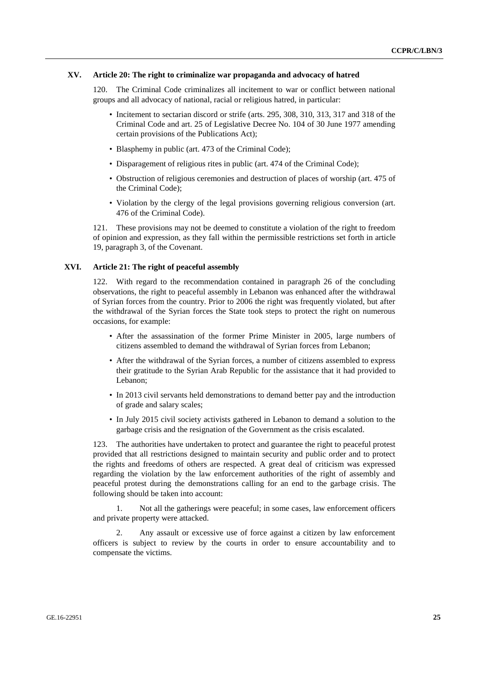#### **XV. Article 20: The right to criminalize war propaganda and advocacy of hatred**

The Criminal Code criminalizes all incitement to war or conflict between national groups and all advocacy of national, racial or religious hatred, in particular:

- Incitement to sectarian discord or strife (arts. 295, 308, 310, 313, 317 and 318 of the Criminal Code and art. 25 of Legislative Decree No. 104 of 30 June 1977 amending certain provisions of the Publications Act);
- Blasphemy in public (art. 473 of the Criminal Code);
- Disparagement of religious rites in public (art. 474 of the Criminal Code);
- Obstruction of religious ceremonies and destruction of places of worship (art. 475 of the Criminal Code);
- Violation by the clergy of the legal provisions governing religious conversion (art. 476 of the Criminal Code).

121. These provisions may not be deemed to constitute a violation of the right to freedom of opinion and expression, as they fall within the permissible restrictions set forth in article 19, paragraph 3, of the Covenant.

#### **XVI. Article 21: The right of peaceful assembly**

122. With regard to the recommendation contained in paragraph 26 of the concluding observations, the right to peaceful assembly in Lebanon was enhanced after the withdrawal of Syrian forces from the country. Prior to 2006 the right was frequently violated, but after the withdrawal of the Syrian forces the State took steps to protect the right on numerous occasions, for example:

- After the assassination of the former Prime Minister in 2005, large numbers of citizens assembled to demand the withdrawal of Syrian forces from Lebanon;
- After the withdrawal of the Syrian forces, a number of citizens assembled to express their gratitude to the Syrian Arab Republic for the assistance that it had provided to Lebanon;
- In 2013 civil servants held demonstrations to demand better pay and the introduction of grade and salary scales;
- In July 2015 civil society activists gathered in Lebanon to demand a solution to the garbage crisis and the resignation of the Government as the crisis escalated.

123. The authorities have undertaken to protect and guarantee the right to peaceful protest provided that all restrictions designed to maintain security and public order and to protect the rights and freedoms of others are respected. A great deal of criticism was expressed regarding the violation by the law enforcement authorities of the right of assembly and peaceful protest during the demonstrations calling for an end to the garbage crisis. The following should be taken into account:

1. Not all the gatherings were peaceful; in some cases, law enforcement officers and private property were attacked.

2. Any assault or excessive use of force against a citizen by law enforcement officers is subject to review by the courts in order to ensure accountability and to compensate the victims.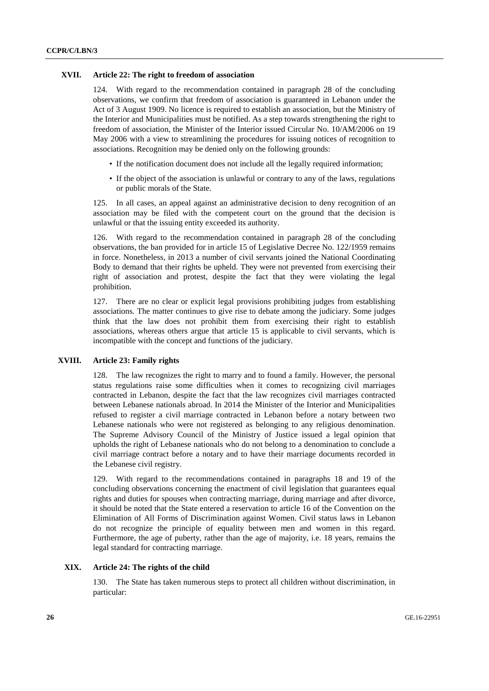#### **XVII. Article 22: The right to freedom of association**

124. With regard to the recommendation contained in paragraph 28 of the concluding observations, we confirm that freedom of association is guaranteed in Lebanon under the Act of 3 August 1909. No licence is required to establish an association, but the Ministry of the Interior and Municipalities must be notified. As a step towards strengthening the right to freedom of association, the Minister of the Interior issued Circular No. 10/AM/2006 on 19 May 2006 with a view to streamlining the procedures for issuing notices of recognition to associations. Recognition may be denied only on the following grounds:

- If the notification document does not include all the legally required information;
- If the object of the association is unlawful or contrary to any of the laws, regulations or public morals of the State.

125. In all cases, an appeal against an administrative decision to deny recognition of an association may be filed with the competent court on the ground that the decision is unlawful or that the issuing entity exceeded its authority.

126. With regard to the recommendation contained in paragraph 28 of the concluding observations, the ban provided for in article 15 of Legislative Decree No. 122/1959 remains in force. Nonetheless, in 2013 a number of civil servants joined the National Coordinating Body to demand that their rights be upheld. They were not prevented from exercising their right of association and protest, despite the fact that they were violating the legal prohibition.

127. There are no clear or explicit legal provisions prohibiting judges from establishing associations. The matter continues to give rise to debate among the judiciary. Some judges think that the law does not prohibit them from exercising their right to establish associations, whereas others argue that article 15 is applicable to civil servants, which is incompatible with the concept and functions of the judiciary.

#### **XVIII. Article 23: Family rights**

128. The law recognizes the right to marry and to found a family. However, the personal status regulations raise some difficulties when it comes to recognizing civil marriages contracted in Lebanon, despite the fact that the law recognizes civil marriages contracted between Lebanese nationals abroad. In 2014 the Minister of the Interior and Municipalities refused to register a civil marriage contracted in Lebanon before a notary between two Lebanese nationals who were not registered as belonging to any religious denomination. The Supreme Advisory Council of the Ministry of Justice issued a legal opinion that upholds the right of Lebanese nationals who do not belong to a denomination to conclude a civil marriage contract before a notary and to have their marriage documents recorded in the Lebanese civil registry.

129. With regard to the recommendations contained in paragraphs 18 and 19 of the concluding observations concerning the enactment of civil legislation that guarantees equal rights and duties for spouses when contracting marriage, during marriage and after divorce, it should be noted that the State entered a reservation to article 16 of the Convention on the Elimination of All Forms of Discrimination against Women. Civil status laws in Lebanon do not recognize the principle of equality between men and women in this regard. Furthermore, the age of puberty, rather than the age of majority, i.e. 18 years, remains the legal standard for contracting marriage.

#### **XIX. Article 24: The rights of the child**

130. The State has taken numerous steps to protect all children without discrimination, in particular: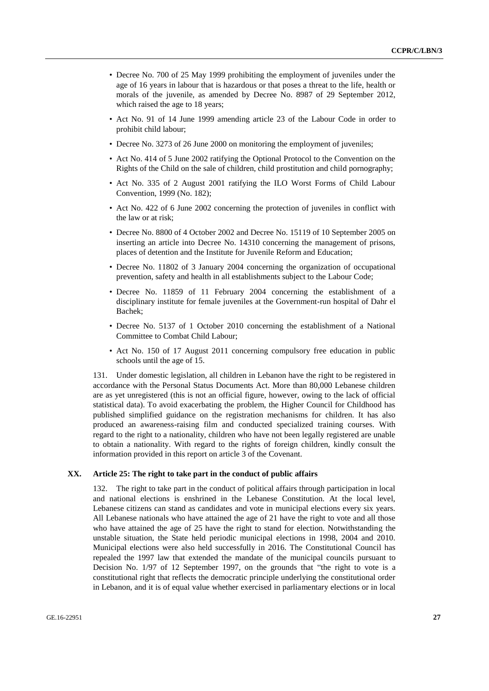- Decree No. 700 of 25 May 1999 prohibiting the employment of juveniles under the age of 16 years in labour that is hazardous or that poses a threat to the life, health or morals of the juvenile, as amended by Decree No. 8987 of 29 September 2012, which raised the age to 18 years;
- Act No. 91 of 14 June 1999 amending article 23 of the Labour Code in order to prohibit child labour;
- Decree No. 3273 of 26 June 2000 on monitoring the employment of juveniles;
- Act No. 414 of 5 June 2002 ratifying the Optional Protocol to the Convention on the Rights of the Child on the sale of children, child prostitution and child pornography;
- Act No. 335 of 2 August 2001 ratifying the ILO Worst Forms of Child Labour Convention, 1999 (No. 182);
- Act No. 422 of 6 June 2002 concerning the protection of juveniles in conflict with the law or at risk;
- Decree No. 8800 of 4 October 2002 and Decree No. 15119 of 10 September 2005 on inserting an article into Decree No. 14310 concerning the management of prisons, places of detention and the Institute for Juvenile Reform and Education;
- Decree No. 11802 of 3 January 2004 concerning the organization of occupational prevention, safety and health in all establishments subject to the Labour Code;
- Decree No. 11859 of 11 February 2004 concerning the establishment of a disciplinary institute for female juveniles at the Government-run hospital of Dahr el Bachek;
- Decree No. 5137 of 1 October 2010 concerning the establishment of a National Committee to Combat Child Labour;
- Act No. 150 of 17 August 2011 concerning compulsory free education in public schools until the age of 15.

131. Under domestic legislation, all children in Lebanon have the right to be registered in accordance with the Personal Status Documents Act. More than 80,000 Lebanese children are as yet unregistered (this is not an official figure, however, owing to the lack of official statistical data). To avoid exacerbating the problem, the Higher Council for Childhood has published simplified guidance on the registration mechanisms for children. It has also produced an awareness-raising film and conducted specialized training courses. With regard to the right to a nationality, children who have not been legally registered are unable to obtain a nationality. With regard to the rights of foreign children, kindly consult the information provided in this report on article 3 of the Covenant.

#### **XX. Article 25: The right to take part in the conduct of public affairs**

132. The right to take part in the conduct of political affairs through participation in local and national elections is enshrined in the Lebanese Constitution. At the local level, Lebanese citizens can stand as candidates and vote in municipal elections every six years. All Lebanese nationals who have attained the age of 21 have the right to vote and all those who have attained the age of 25 have the right to stand for election. Notwithstanding the unstable situation, the State held periodic municipal elections in 1998, 2004 and 2010. Municipal elections were also held successfully in 2016. The Constitutional Council has repealed the 1997 law that extended the mandate of the municipal councils pursuant to Decision No. 1/97 of 12 September 1997, on the grounds that "the right to vote is a constitutional right that reflects the democratic principle underlying the constitutional order in Lebanon, and it is of equal value whether exercised in parliamentary elections or in local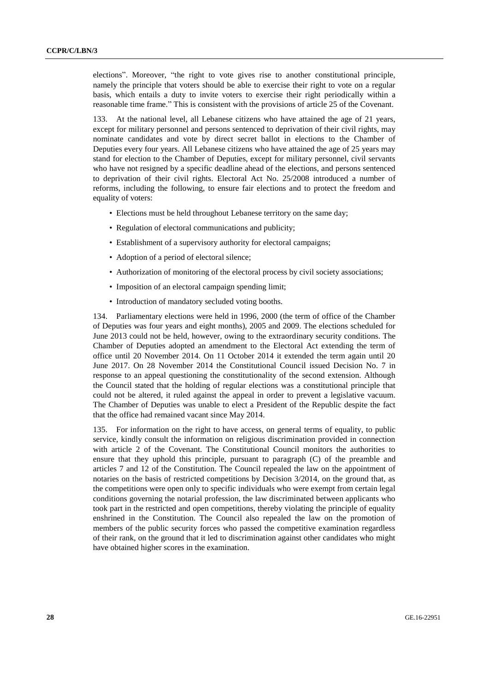elections". Moreover, "the right to vote gives rise to another constitutional principle, namely the principle that voters should be able to exercise their right to vote on a regular basis, which entails a duty to invite voters to exercise their right periodically within a reasonable time frame." This is consistent with the provisions of article 25 of the Covenant.

133. At the national level, all Lebanese citizens who have attained the age of 21 years, except for military personnel and persons sentenced to deprivation of their civil rights, may nominate candidates and vote by direct secret ballot in elections to the Chamber of Deputies every four years. All Lebanese citizens who have attained the age of 25 years may stand for election to the Chamber of Deputies, except for military personnel, civil servants who have not resigned by a specific deadline ahead of the elections, and persons sentenced to deprivation of their civil rights. Electoral Act No. 25/2008 introduced a number of reforms, including the following, to ensure fair elections and to protect the freedom and equality of voters:

- Elections must be held throughout Lebanese territory on the same day;
- Regulation of electoral communications and publicity;
- Establishment of a supervisory authority for electoral campaigns;
- Adoption of a period of electoral silence;
- Authorization of monitoring of the electoral process by civil society associations;
- Imposition of an electoral campaign spending limit;
- Introduction of mandatory secluded voting booths.

134. Parliamentary elections were held in 1996, 2000 (the term of office of the Chamber of Deputies was four years and eight months), 2005 and 2009. The elections scheduled for June 2013 could not be held, however, owing to the extraordinary security conditions. The Chamber of Deputies adopted an amendment to the Electoral Act extending the term of office until 20 November 2014. On 11 October 2014 it extended the term again until 20 June 2017. On 28 November 2014 the Constitutional Council issued Decision No. 7 in response to an appeal questioning the constitutionality of the second extension. Although the Council stated that the holding of regular elections was a constitutional principle that could not be altered, it ruled against the appeal in order to prevent a legislative vacuum. The Chamber of Deputies was unable to elect a President of the Republic despite the fact that the office had remained vacant since May 2014.

135. For information on the right to have access, on general terms of equality, to public service, kindly consult the information on religious discrimination provided in connection with article 2 of the Covenant. The Constitutional Council monitors the authorities to ensure that they uphold this principle, pursuant to paragraph (C) of the preamble and articles 7 and 12 of the Constitution. The Council repealed the law on the appointment of notaries on the basis of restricted competitions by Decision 3/2014, on the ground that, as the competitions were open only to specific individuals who were exempt from certain legal conditions governing the notarial profession, the law discriminated between applicants who took part in the restricted and open competitions, thereby violating the principle of equality enshrined in the Constitution. The Council also repealed the law on the promotion of members of the public security forces who passed the competitive examination regardless of their rank, on the ground that it led to discrimination against other candidates who might have obtained higher scores in the examination.